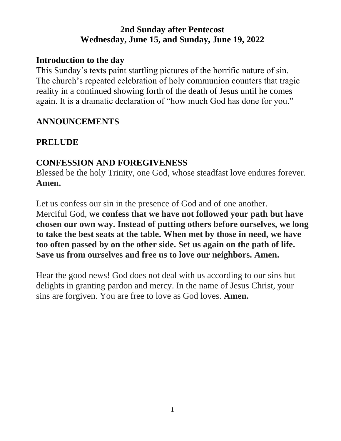## **2nd Sunday after Pentecost Wednesday, June 15, and Sunday, June 19, 2022**

#### **Introduction to the day**

This Sunday's texts paint startling pictures of the horrific nature of sin. The church's repeated celebration of holy communion counters that tragic reality in a continued showing forth of the death of Jesus until he comes again. It is a dramatic declaration of "how much God has done for you."

## **ANNOUNCEMENTS**

## **PRELUDE**

## **CONFESSION AND FOREGIVENESS**

Blessed be the holy Trinity, one God, whose steadfast love endures forever. **Amen.**

Let us confess our sin in the presence of God and of one another. Merciful God, **we confess that we have not followed your path but have chosen our own way. Instead of putting others before ourselves, we long to take the best seats at the table. When met by those in need, we have too often passed by on the other side. Set us again on the path of life. Save us from ourselves and free us to love our neighbors. Amen.**

Hear the good news! God does not deal with us according to our sins but delights in granting pardon and mercy. In the name of Jesus Christ, your sins are forgiven. You are free to love as God loves. **Amen.**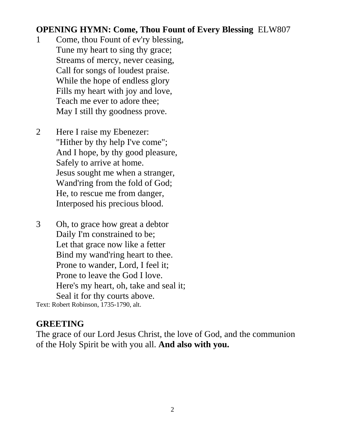#### **OPENING HYMN: Come, Thou Fount of Every Blessing** ELW807

- 1 Come, thou Fount of ev'ry blessing, Tune my heart to sing thy grace; Streams of mercy, never ceasing, Call for songs of loudest praise. While the hope of endless glory Fills my heart with joy and love, Teach me ever to adore thee; May I still thy goodness prove.
- 2 Here I raise my Ebenezer: "Hither by thy help I've come"; And I hope, by thy good pleasure, Safely to arrive at home. Jesus sought me when a stranger, Wand'ring from the fold of God; He, to rescue me from danger, Interposed his precious blood.
- 3 Oh, to grace how great a debtor Daily I'm constrained to be; Let that grace now like a fetter Bind my wand'ring heart to thee. Prone to wander, Lord, I feel it; Prone to leave the God I love. Here's my heart, oh, take and seal it; Seal it for thy courts above.

Text: Robert Robinson, 1735-1790, alt.

#### **GREETING**

The grace of our Lord Jesus Christ, the love of God, and the communion of the Holy Spirit be with you all. **And also with you.**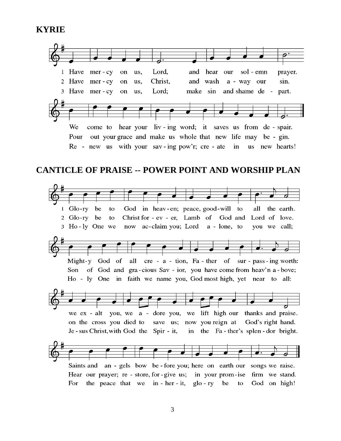#### **KYRIE**



 $1$  Glo-rv be to God in heav-en; peace, good-will to all the earth. 2  $Glo-ry$ be Christ for - ev - er, Lamb of God and Lord of love. to 3 Ho-ly One we now ac-claim you; Lord a - lone, to you we call;



we ex - alt you, we a - dore you, we lift high our thanks and praise. save us; now you reign at on the cross you died to God's right hand. Je-sus Christ, with God the Spir-it, in the Fa-ther's splen-dor bright.



Hear our prayer; re - store, for - give us; firm we stand. in your prom-ise the peace that we in - her - it,  $g$ lo - ry God on high! For be to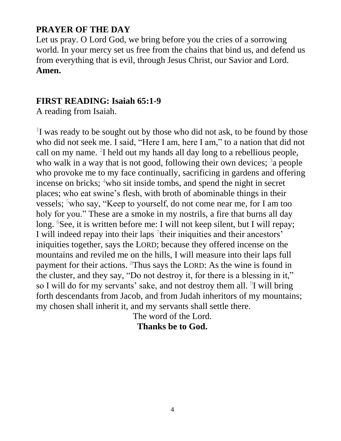## **PRAYER OF THE DAY**

Let us pray. O Lord God, we bring before you the cries of a sorrowing world. In your mercy set us free from the chains that bind us, and defend us from everything that is evil, through Jesus Christ, our Savior and Lord. **Amen.**

#### **FIRST READING: Isaiah 65:1-9**

A reading from Isaiah.

<sup>1</sup>I was ready to be sought out by those who did not ask, to be found by those who did not seek me. I said, "Here I am, here I am," to a nation that did not call on my name. <sup>2</sup>I held out my hands all day long to a rebellious people, who walk in a way that is not good, following their own devices;  $3a$  people who provoke me to my face continually, sacrificing in gardens and offering incense on bricks;  $4$ who sit inside tombs, and spend the night in secret places; who eat swine's flesh, with broth of abominable things in their vessels;  $5$ who say, "Keep to yourself, do not come near me, for I am too holy for you." These are a smoke in my nostrils, a fire that burns all day long. <sup>6</sup>See, it is written before me: I will not keep silent, but I will repay; I will indeed repay into their laps  $\frac{7}{1}$ their iniquities and their ancestors' iniquities together, says the LORD; because they offered incense on the mountains and reviled me on the hills, I will measure into their laps full payment for their actions. <sup>8</sup>Thus says the LORD: As the wine is found in the cluster, and they say, "Do not destroy it, for there is a blessing in it," so I will do for my servants' sake, and not destroy them all.  $9$ I will bring forth descendants from Jacob, and from Judah inheritors of my mountains; my chosen shall inherit it, and my servants shall settle there.

The word of the Lord.

**Thanks be to God.**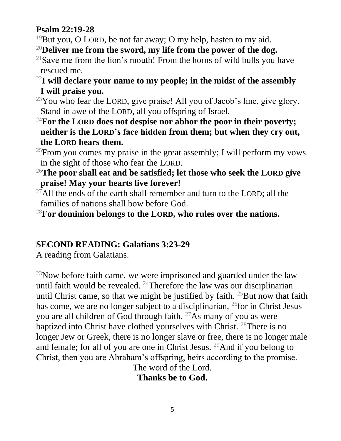## **Psalm 22:19-28**

- <sup>19</sup>But you, O LORD, be not far away; O my help, hasten to my aid.
- <sup>20</sup>**Deliver me from the sword, my life from the power of the dog.**
- <sup>21</sup>Save me from the lion's mouth! From the horns of wild bulls you have rescued me.
- <sup>22</sup>**I will declare your name to my people; in the midst of the assembly I will praise you.**
- $^{23}$ You who fear the LORD, give praise! All you of Jacob's line, give glory. Stand in awe of the LORD, all you offspring of Israel.
- <sup>24</sup>**For the LORD does not despise nor abhor the poor in their poverty; neither is the LORD's face hidden from them; but when they cry out, the LORD hears them.**

<sup>25</sup>From you comes my praise in the great assembly; I will perform my vows in the sight of those who fear the LORD.

- <sup>26</sup>**The poor shall eat and be satisfied; let those who seek the LORD give praise! May your hearts live forever!**
- $^{27}$ All the ends of the earth shall remember and turn to the LORD; all the families of nations shall bow before God.
- <sup>28</sup>**For dominion belongs to the LORD, who rules over the nations.**

# **SECOND READING: Galatians 3:23-29**

A reading from Galatians.

 $^{23}$ Now before faith came, we were imprisoned and guarded under the law until faith would be revealed.  $24$ Therefore the law was our disciplinarian until Christ came, so that we might be justified by faith.  $25$  But now that faith has come, we are no longer subject to a disciplinarian, <sup>26</sup>for in Christ Jesus you are all children of God through faith.  $27\text{As}$  many of you as were baptized into Christ have clothed yourselves with Christ. <sup>28</sup>There is no longer Jew or Greek, there is no longer slave or free, there is no longer male and female; for all of you are one in Christ Jesus.  $^{29}$ And if you belong to Christ, then you are Abraham's offspring, heirs according to the promise.

The word of the Lord.

**Thanks be to God.**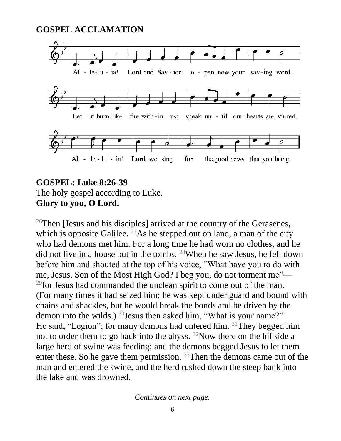#### **GOSPEL ACCLAMATION**



## **GOSPEL: Luke 8:26-39** The holy gospel according to Luke. **Glory to you, O Lord.**

<sup>26</sup>Then [Jesus and his disciples] arrived at the country of the Gerasenes, which is opposite Galilee. <sup>27</sup>As he stepped out on land, a man of the city who had demons met him. For a long time he had worn no clothes, and he did not live in a house but in the tombs. <sup>28</sup>When he saw Jesus, he fell down before him and shouted at the top of his voice, "What have you to do with me, Jesus, Son of the Most High God? I beg you, do not torment me"—  $^{29}$  for Jesus had commanded the unclean spirit to come out of the man. (For many times it had seized him; he was kept under guard and bound with chains and shackles, but he would break the bonds and be driven by the demon into the wilds.) <sup>30</sup>Jesus then asked him, "What is your name?" He said, "Legion"; for many demons had entered him.  $31$ They begged him not to order them to go back into the abyss. <sup>32</sup>Now there on the hillside a large herd of swine was feeding; and the demons begged Jesus to let them enter these. So he gave them permission.  $33$ Then the demons came out of the man and entered the swine, and the herd rushed down the steep bank into the lake and was drowned.

*Continues on next page.*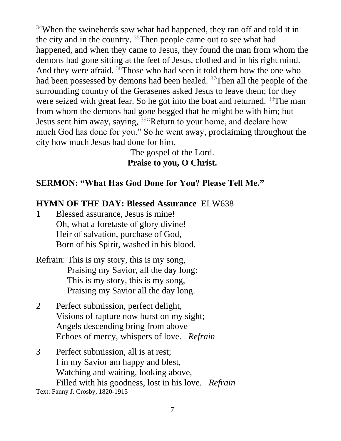<sup>34</sup>When the swineherds saw what had happened, they ran off and told it in the city and in the country. <sup>35</sup>Then people came out to see what had happened, and when they came to Jesus, they found the man from whom the demons had gone sitting at the feet of Jesus, clothed and in his right mind. And they were afraid.  $36$ Those who had seen it told them how the one who had been possessed by demons had been healed. <sup>37</sup>Then all the people of the surrounding country of the Gerasenes asked Jesus to leave them; for they were seized with great fear. So he got into the boat and returned. <sup>38</sup>The man from whom the demons had gone begged that he might be with him; but Jesus sent him away, saying, <sup>39</sup> Return to your home, and declare how much God has done for you." So he went away, proclaiming throughout the city how much Jesus had done for him.

> The gospel of the Lord. **Praise to you, O Christ.**

#### **SERMON: "What Has God Done for You? Please Tell Me."**

#### **HYMN OF THE DAY: Blessed Assurance** ELW638

- 1 Blessed assurance, Jesus is mine! Oh, what a foretaste of glory divine! Heir of salvation, purchase of God, Born of his Spirit, washed in his blood.
- Refrain: This is my story, this is my song, Praising my Savior, all the day long: This is my story, this is my song, Praising my Savior all the day long.
- 2 Perfect submission, perfect delight, Visions of rapture now burst on my sight; Angels descending bring from above Echoes of mercy, whispers of love. *Refrain*
- 3 Perfect submission, all is at rest; I in my Savior am happy and blest, Watching and waiting, looking above, Filled with his goodness, lost in his love. *Refrain*

Text: Fanny J. Crosby, 1820-1915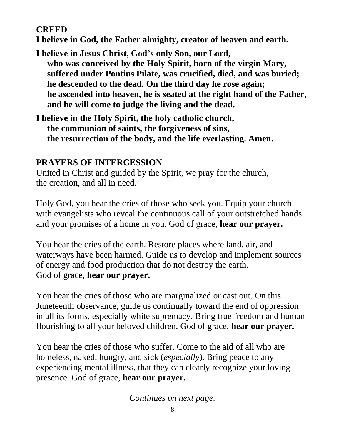## **CREED**

**I believe in God, the Father almighty, creator of heaven and earth.**

- **I believe in Jesus Christ, God's only Son, our Lord, who was conceived by the Holy Spirit, born of the virgin Mary, suffered under Pontius Pilate, was crucified, died, and was buried; he descended to the dead. On the third day he rose again; he ascended into heaven, he is seated at the right hand of the Father, and he will come to judge the living and the dead.**
- **I believe in the Holy Spirit, the holy catholic church, the communion of saints, the forgiveness of sins, the resurrection of the body, and the life everlasting. Amen.**

## **PRAYERS OF INTERCESSION**

United in Christ and guided by the Spirit, we pray for the church, the creation, and all in need.

Holy God, you hear the cries of those who seek you. Equip your church with evangelists who reveal the continuous call of your outstretched hands and your promises of a home in you. God of grace, **hear our prayer.**

You hear the cries of the earth. Restore places where land, air, and waterways have been harmed. Guide us to develop and implement sources of energy and food production that do not destroy the earth. God of grace, **hear our prayer.**

You hear the cries of those who are marginalized or cast out. On this Juneteenth observance, guide us continually toward the end of oppression in all its forms, especially white supremacy. Bring true freedom and human flourishing to all your beloved children. God of grace, **hear our prayer.**

You hear the cries of those who suffer. Come to the aid of all who are homeless, naked, hungry, and sick (*especially*). Bring peace to any experiencing mental illness, that they can clearly recognize your loving presence. God of grace, **hear our prayer.**

*Continues on next page.*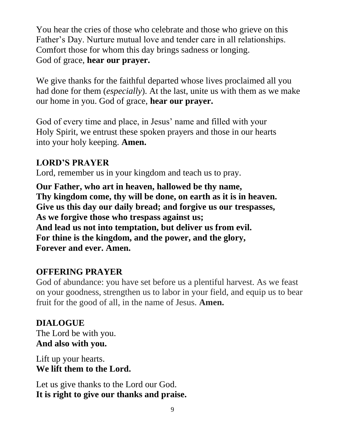You hear the cries of those who celebrate and those who grieve on this Father's Day. Nurture mutual love and tender care in all relationships. Comfort those for whom this day brings sadness or longing. God of grace, **hear our prayer.**

We give thanks for the faithful departed whose lives proclaimed all you had done for them (*especially*). At the last, unite us with them as we make our home in you. God of grace, **hear our prayer.**

God of every time and place, in Jesus' name and filled with your Holy Spirit, we entrust these spoken prayers and those in our hearts into your holy keeping. **Amen.**

## **LORD'S PRAYER**

Lord, remember us in your kingdom and teach us to pray.

**Our Father, who art in heaven, hallowed be thy name, Thy kingdom come, thy will be done, on earth as it is in heaven. Give us this day our daily bread; and forgive us our trespasses, As we forgive those who trespass against us; And lead us not into temptation, but deliver us from evil. For thine is the kingdom, and the power, and the glory, Forever and ever. Amen.**

## **OFFERING PRAYER**

God of abundance: you have set before us a plentiful harvest. As we feast on your goodness, strengthen us to labor in your field, and equip us to bear fruit for the good of all, in the name of Jesus. **Amen.**

## **DIALOGUE** The Lord be with you. **And also with you.**

Lift up your hearts. **We lift them to the Lord.**

Let us give thanks to the Lord our God. **It is right to give our thanks and praise.**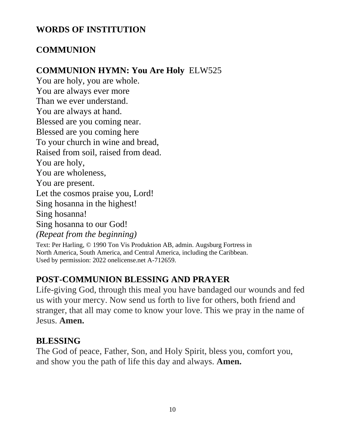## **WORDS OF INSTITUTION**

## **COMMUNION**

## **COMMUNION HYMN: You Are Holy** ELW525

You are holy, you are whole. You are always ever more Than we ever understand. You are always at hand. Blessed are you coming near. Blessed are you coming here To your church in wine and bread, Raised from soil, raised from dead. You are holy, You are wholeness, You are present. Let the cosmos praise you, Lord! Sing hosanna in the highest! Sing hosanna! Sing hosanna to our God! *(Repeat from the beginning)* Text: Per Harling, © 1990 Ton Vis Produktion AB, admin. Augsburg Fortress in

North America, South America, and Central America, including the Caribbean. Used by permission: 2022 onelicense.net A-712659.

## **POST-COMMUNION BLESSING AND PRAYER**

Life-giving God, through this meal you have bandaged our wounds and fed us with your mercy. Now send us forth to live for others, both friend and stranger, that all may come to know your love. This we pray in the name of Jesus. **Amen.**

#### **BLESSING**

The God of peace, Father, Son, and Holy Spirit, bless you, comfort you, and show you the path of life this day and always. **Amen.**